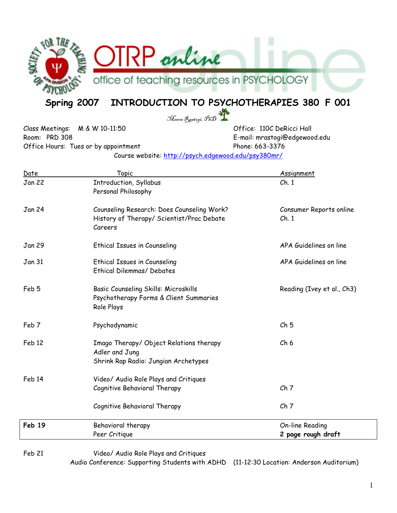

# Spring 2007 INTRODUCTION TO PSYCHOTHERAPIES 380 F 001

Meera Rastogi, PhD

Class Meetings: M & W 10-11:50 Class Meetings: M & W 10-11:50 Room: PRD 308 E-mail: mrastogi@edgewood.edu Office Hours: Tues or by appointment Phone: 663-3376

Course website: http://psych.edgewood.edu/psy380mr/

| Date              | Topic                                                  | Assignment                 |
|-------------------|--------------------------------------------------------|----------------------------|
| <b>Jan 22</b>     | Introduction, Syllabus                                 | Ch.1                       |
|                   | Personal Philosophy                                    |                            |
| <b>Jan 24</b>     | Counseling Research: Does Counseling Work?             | Consumer Reports online    |
|                   | History of Therapy/ Scientist/Prac Debate              | Ch.1                       |
|                   | Careers                                                |                            |
| <b>Jan 29</b>     | <b>Ethical Issues in Counseling</b>                    | APA Guidelines on line     |
|                   |                                                        |                            |
| <b>Jan 31</b>     | <b>Ethical Issues in Counseling</b>                    | APA Guidelines on line     |
|                   | Ethical Dilemmas/Debates                               |                            |
| Feb 5             | Basic Counseling Skills: Microskills                   | Reading (Ivey et al., Ch3) |
|                   | Psychotherapy Forms & Client Summaries                 |                            |
|                   | Role Plays                                             |                            |
| Feb 7             | Psychodynamic                                          | Ch <sub>5</sub>            |
|                   |                                                        |                            |
| Feb <sub>12</sub> | Imago Therapy/Object Relations therapy                 | Ch <sub>6</sub>            |
|                   | Adler and Jung<br>Shrink Rap Radio: Jungian Archetypes |                            |
|                   |                                                        |                            |
| Feb 14            | Video/ Audio Role Plays and Critiques                  |                            |
|                   | Cognitive Behavioral Therapy                           | Ch <sub>7</sub>            |
|                   | Cognitive Behavioral Therapy                           | Ch <sub>7</sub>            |
| Feb 19            | Behavioral therapy                                     | <b>On-line Reading</b>     |
|                   | Peer Critique                                          | 2 page rough draft         |
|                   |                                                        |                            |

Feb 21 Video/ Audio Role Plays and Critiques

Audio Conference: Supporting Students with ADHD (11-12:30 Location: Anderson Auditorium)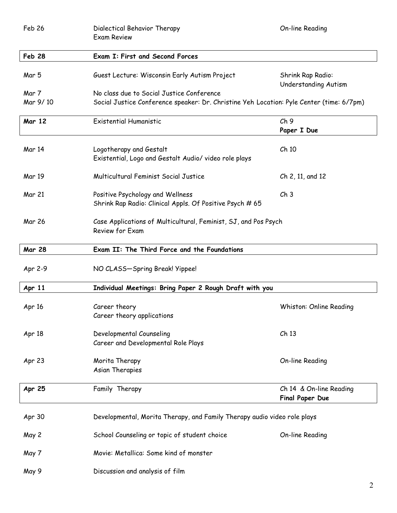| Feb 26        | On-line Reading<br>Dialectical Behavior Therapy<br><b>Exam Review</b>                        |                                            |  |  |  |
|---------------|----------------------------------------------------------------------------------------------|--------------------------------------------|--|--|--|
| <b>Feb 28</b> | <b>Exam I: First and Second Forces</b>                                                       |                                            |  |  |  |
| Mar 5         | Guest Lecture: Wisconsin Early Autism Project                                                | Shrink Rap Radio:<br>Understanding Autism  |  |  |  |
| Mar 7         | No class due to Social Justice Conference                                                    |                                            |  |  |  |
| Mar 9/10      | Social Justice Conference speaker: Dr. Christine Yeh Location: Pyle Center (time: 6/7pm)     |                                            |  |  |  |
| <b>Mar 12</b> | <b>Existential Humanistic</b>                                                                | Ch9<br>Paper I Due                         |  |  |  |
| <b>Mar 14</b> | Logotherapy and Gestalt<br>Existential, Logo and Gestalt Audio/ video role plays             | Ch 10                                      |  |  |  |
| <b>Mar 19</b> | Multicultural Feminist Social Justice                                                        | Ch 2, 11, and 12                           |  |  |  |
| Mar 21        | Positive Psychology and Wellness<br>Shrink Rap Radio: Clinical Appls. Of Positive Psych # 65 | Ch <sub>3</sub>                            |  |  |  |
| Mar 26        | Case Applications of Multicultural, Feminist, SJ, and Pos Psych<br>Review for Exam           |                                            |  |  |  |
| <b>Mar 28</b> | Exam II: The Third Force and the Foundations                                                 |                                            |  |  |  |
| Apr 2-9       | NO CLASS-Spring Break! Yippee!                                                               |                                            |  |  |  |
| Apr 11        | Individual Meetings: Bring Paper 2 Rough Draft with you                                      |                                            |  |  |  |
| Apr 16        | Career theory<br>Career theory applications                                                  | Whiston: Online Reading                    |  |  |  |
| Apr 18        | Developmental Counseling<br>Career and Developmental Role Plays                              | Ch <sub>13</sub>                           |  |  |  |
| Apr 23        | Morita Therapy<br>Asian Therapies                                                            | <b>On-line Reading</b>                     |  |  |  |
| Apr 25        | Family Therapy                                                                               | Ch 14 & On-line Reading<br>Final Paper Due |  |  |  |
| Apr 30        | Developmental, Morita Therapy, and Family Therapy audio video role plays                     |                                            |  |  |  |
| May 2         | School Counseling or topic of student choice                                                 | On-line Reading                            |  |  |  |
| May 7         | Movie: Metallica: Some kind of monster                                                       |                                            |  |  |  |
| May 9         | Discussion and analysis of film                                                              |                                            |  |  |  |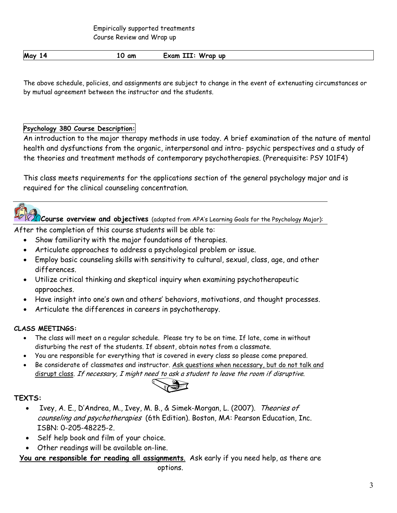Empirically supported treatments Course Review and Wrap up

| May<br>Wrap up<br>Exam<br>III<br>am<br>z<br>ιu |
|------------------------------------------------|
|------------------------------------------------|

The above schedule, policies, and assignments are subject to change in the event of extenuating circumstances or by mutual agreement between the instructor and the students.

### Psychology 380 Course Description:

An introduction to the major therapy methods in use today. A brief examination of the nature of mental health and dysfunctions from the organic, interpersonal and intra- psychic perspectives and a study of the theories and treatment methods of contemporary psychotherapies. (Prerequisite: PSY 101F4)

This class meets requirements for the applications section of the general psychology major and is required for the clinical counseling concentration.



Course overview and objectives (adapted from APA's Learning Goals for the Psychology Major):

After the completion of this course students will be able to:

- Show familiarity with the major foundations of therapies.
- Articulate approaches to address a psychological problem or issue.
- Employ basic counseling skills with sensitivity to cultural, sexual, class, age, and other differences.
- Utilize critical thinking and skeptical inquiry when examining psychotherapeutic approaches.
- Have insight into one's own and others' behaviors, motivations, and thought processes.
- Articulate the differences in careers in psychotherapy.

### CLASS MEETINGS:

- The class will meet on a regular schedule. Please try to be on time. If late, come in without disturbing the rest of the students. If absent, obtain notes from a classmate.
- You are responsible for everything that is covered in every class so please come prepared.
- Be considerate of classmates and instructor. Ask questions when necessary, but do not talk and disrupt class. If necessary, I might need to ask a student to leave the room if disruptive.



### TEXTS:

- Ivey, A. E., D'Andrea, M., Ivey, M. B., & Simek-Morgan, L. (2007). Theories of counseling and psychotherapies (6th Edition). Boston, MA: Pearson Education, Inc. ISBN: 0-205-48225-2.
- Self help book and film of your choice.
- Other readings will be available on-line.

You are responsible for reading all assignments. Ask early if you need help, as there are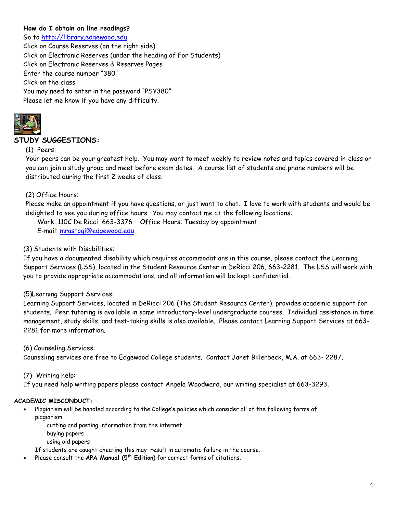### How do I obtain on line readings?

Go to http://library.edgewood.edu Click on Course Reserves (on the right side) Click on Electronic Reserves (under the heading of For Students) Click on Electronic Reserves & Reserves Pages Enter the course number "380" Click on the class You may need to enter in the password "PSY380" Please let me know if you have any difficulty.



### STUDY SUGGESTIONS:

### (1) Peers:

Your peers can be your greatest help. You may want to meet weekly to review notes and topics covered in-class or you can join a study group and meet before exam dates. A course list of students and phone numbers will be distributed during the first 2 weeks of class.

### (2) Office Hours:

Please make an appointment if you have questions, or just want to chat. I love to work with students and would be delighted to see you during office hours. You may contact me at the following locations:

Work: 110C De Ricci 663-3376 Office Hours: Tuesday by appointment.

E-mail: mrastogi@edgewood.edu

### (3) Students with Disabilities:

If you have a documented disability which requires accommodations in this course, please contact the Learning Support Services (LSS), located in the Student Resource Center in DeRicci 206, 663-2281. The LSS will work with you to provide appropriate accommodations, and all information will be kept confidential.

### (5)Learning Support Services:

Learning Support Services, located in DeRicci 206 (The Student Resource Center), provides academic support for students. Peer tutoring is available in some introductory-level undergraduate courses. Individual assistance in time management, study skills, and test-taking skills is also available. Please contact Learning Support Services at 663- 2281 for more information.

(6) Counseling Services: Counseling services are free to Edgewood College students. Contact Janet Billerbeck, M.A. at 663- 2287.

### (7) Writing help:

If you need help writing papers please contact Angela Woodward, our writing specialist at 663-3293.

#### ACADEMIC MISCONDUCT:

- Plagiarism will be handled according to the College's policies which consider all of the following forms of plagiarism:
	- cutting and pasting information from the internet
	- buying papers
	- using old papers

If students are caught cheating this may result in automatic failure in the course.

Please consult the APA Manual (5<sup>th</sup> Edition) for correct forms of citations.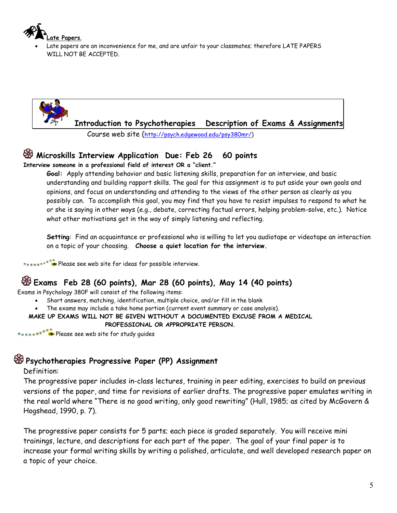

• Late papers are an inconvenience for me, and are unfair to your classmates; therefore LATE PAPERS WILL NOT BE ACCEPTED.



Course web site (http://psych.edgewood.edu/psy380mr/)

### **W** Microskills Interview Application Due: Feb 26 60 points

Interview someone in a professional field of interest OR a "client."

Goal: Apply attending behavior and basic listening skills, preparation for an interview, and basic understanding and building rapport skills. The goal for this assignment is to put aside your own goals and opinions, and focus on understanding and attending to the views of the other person as clearly as you possibly can. To accomplish this goal, you may find that you have to resist impulses to respond to what he or she is saying in other ways (e.g., debate, correcting factual errors, helping problem-solve, etc.). Notice what other motivations get in the way of simply listening and reflecting.

Setting: Find an acquaintance or professional who is willing to let you audiotape or videotape an interaction on a topic of your choosing. Choose a quiet location for the interview.

**Please see web site for ideas for possible interview.** 

# Exams Feb 28 (60 points), Mar 28 (60 points), May 14 (40 points)

Exams in Psychology 380F will consist of the following items:

- Short answers, matching, identification, multiple choice, and/or fill in the blank
- The exams may include a take home portion (current event summary or case analysis).

MAKE UP EXAMS WILL NOT BE GIVEN WITHOUT A DOCUMENTED EXCUSE FROM A MEDICAL

PROFESSIONAL OR APPROPRIATE PERSON.

**Please see web site for study quides** 

# Psychotherapies Progressive Paper (PP) Assignment

### Definition:

The progressive paper includes in-class lectures, training in peer editing, exercises to build on previous versions of the paper, and time for revisions of earlier drafts. The progressive paper emulates writing in the real world where "There is no good writing, only good rewriting" (Hull, 1985; as cited by McGovern & Hogshead, 1990, p. 7).

The progressive paper consists for 5 parts; each piece is graded separately. You will receive mini trainings, lecture, and descriptions for each part of the paper. The goal of your final paper is to increase your formal writing skills by writing a polished, articulate, and well developed research paper on a topic of your choice.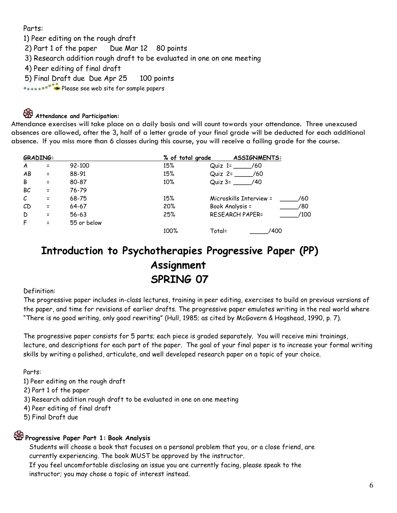Parts:

1) Peer editing on the rough draft

2) Part 1 of the paper Due Mar 12 80 points

3) Research addition rough draft to be evaluated in one on one meeting

4) Peer editing of final draft

5) Final Draft due Due Apr 25 100 points

Please see web site for sample papers

# **Attendance and Participation:**

Attendance exercises will take place on a daily basis and will count towards your attendance. Three unexcused absences are allowed, after the 3, half of a letter grade of your final grade will be deducted for each additional absence. If you miss more than 6 classes during this course, you will receive a failing grade for the course.

|    | <b>GRADING:</b> |             | % of total grade | <b>ASSIGNMENTS:</b>            |
|----|-----------------|-------------|------------------|--------------------------------|
| A  | $\equiv$        | 92-100      | 15%              | /60<br>$Q$ uiz 1=              |
| AB | $\equiv$        | 88-91       | 15%              | Quiz 2=<br>- 760               |
| B  | $\equiv$        | 80-87       | $10\%$           | Quiz $3 =$ /40                 |
| ВC | $\equiv$        | 76-79       |                  |                                |
| C  | $\equiv$        | 68-75       | 15%              | Microskills Interview =<br>/60 |
| CD | $\equiv$        | 64-67       | 20%              | Book Analysis =<br>/80         |
| D  | $\equiv$        | $56 - 63$   | 25%              | <b>RESEARCH PAPER=</b><br>/100 |
| F  | $\equiv$        | 55 or below |                  |                                |
|    |                 |             | 100%             | Total=<br>/400                 |

# Introduction to Psychotherapies Progressive Paper (PP) Assignment SPRING 07

#### Definition:

The progressive paper includes in-class lectures, training in peer editing, exercises to build on previous versions of the paper, and time for revisions of earlier drafts. The progressive paper emulates writing in the real world where "There is no good writing, only good rewriting" (Hull, 1985; as cited by McGovern & Hogshead, 1990, p. 7).

The progressive paper consists for 5 parts; each piece is graded separately. You will receive mini trainings, lecture, and descriptions for each part of the paper. The goal of your final paper is to increase your formal writing skills by writing a polished, articulate, and well developed research paper on a topic of your choice.

Parts:

1) Peer editing on the rough draft

2) Part 1 of the paper

3) Research addition rough draft to be evaluated in one on one meeting

4) Peer editing of final draft

5) Final Draft due

# Progressive Paper Part 1: Book Analysis

Students will choose a book that focuses on a personal problem that you, or a close friend, are currently experiencing. The book MUST be approved by the instructor.

If you feel uncomfortable disclosing an issue you are currently facing, please speak to the instructor; you may chose a topic of interest instead.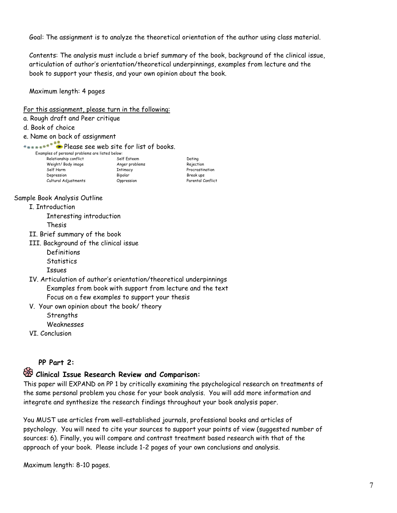Goal: The assignment is to analyze the theoretical orientation of the author using class material.

Contents: The analysis must include a brief summary of the book, background of the clinical issue, articulation of author's orientation/theoretical underpinnings, examples from lecture and the book to support your thesis, and your own opinion about the book.

Maximum length: 4 pages

#### For this assignment, please turn in the following:

- a. Rough draft and Peer critique
- d. Book of choice
- e. Name on back of assignment

\*\*\*\*\*\*\*\*\*\*\*\*\*\*Please see web site for list of books.

| Examples of personal problems are listed below: |                |            |
|-------------------------------------------------|----------------|------------|
| Relationship conflict                           | Self Esteem    | Dating     |
| Weight/Body image                               | Anger problems | Rejection  |
| Self Harm                                       | Intimacy       | Procrastin |
| Depression                                      | Bipolar        | Break ups  |
| Cultural Adjustments                            | Oppression     | Parental C |

External Self Harm Intimacy<br>
Self Break ups<br>
Break ups djustments **Oppression** Oppression Parental Conflict

#### Sample Book Analysis Outline

#### I. Introduction

 Interesting introduction Thesis

- II. Brief summary of the book
- III. Background of the clinical issue
	- Definitions **Statistics**

Issues

- IV. Articulation of author's orientation/theoretical underpinnings Examples from book with support from lecture and the text Focus on a few examples to support your thesis
- V. Your own opinion about the book/ theory **Strengths** Weaknesses
- VI. Conclusion

### PP Part 2:

## $\bullet$  Clinical Issue Research Review and Comparison:

This paper will EXPAND on PP 1 by critically examining the psychological research on treatments of the same personal problem you chose for your book analysis. You will add more information and integrate and synthesize the research findings throughout your book analysis paper.

You MUST use articles from well-established journals, professional books and articles of psychology. You will need to cite your sources to support your points of view (suggested number of sources: 6). Finally, you will compare and contrast treatment based research with that of the approach of your book. Please include 1-2 pages of your own conclusions and analysis.

Maximum length: 8-10 pages.